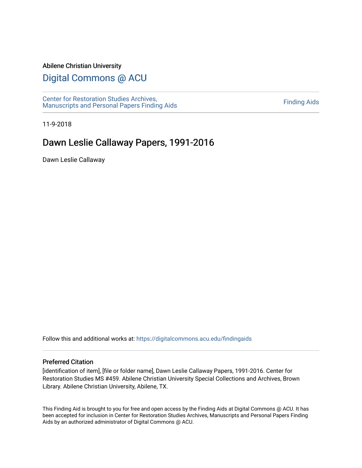#### Abilene Christian University

## [Digital Commons @ ACU](https://digitalcommons.acu.edu/)

[Center for Restoration Studies Archives,](https://digitalcommons.acu.edu/findingaids)  [Manuscripts and Personal Papers Finding Aids](https://digitalcommons.acu.edu/findingaids) [Finding Aids](https://digitalcommons.acu.edu/crs_finding_aids) 

11-9-2018

# Dawn Leslie Callaway Papers, 1991-2016

Dawn Leslie Callaway

Follow this and additional works at: [https://digitalcommons.acu.edu/findingaids](https://digitalcommons.acu.edu/findingaids?utm_source=digitalcommons.acu.edu%2Ffindingaids%2F751&utm_medium=PDF&utm_campaign=PDFCoverPages)

#### Preferred Citation

[identification of item], [file or folder name], Dawn Leslie Callaway Papers, 1991-2016. Center for Restoration Studies MS #459. Abilene Christian University Special Collections and Archives, Brown Library. Abilene Christian University, Abilene, TX.

This Finding Aid is brought to you for free and open access by the Finding Aids at Digital Commons @ ACU. It has been accepted for inclusion in Center for Restoration Studies Archives, Manuscripts and Personal Papers Finding Aids by an authorized administrator of Digital Commons @ ACU.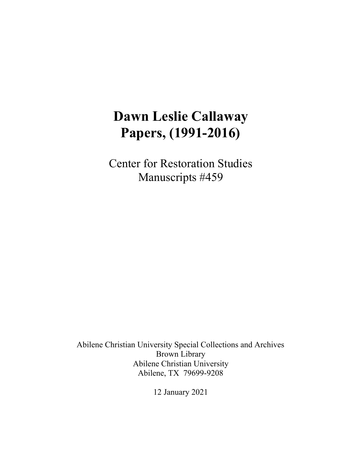# **Dawn Leslie Callaway Papers, (1991-2016)**

Center for Restoration Studies Manuscripts #459

Abilene Christian University Special Collections and Archives Brown Library Abilene Christian University Abilene, TX 79699-9208

12 January 2021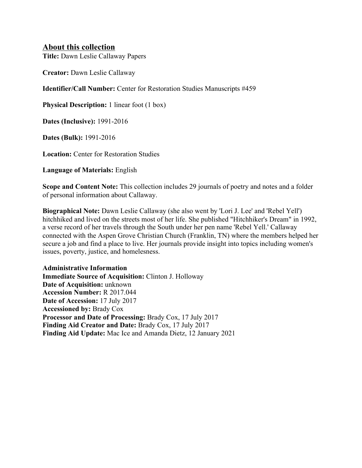### **About this collection**

**Title:** Dawn Leslie Callaway Papers

**Creator:** Dawn Leslie Callaway

**Identifier/Call Number:** Center for Restoration Studies Manuscripts #459

**Physical Description:** 1 linear foot (1 box)

**Dates (Inclusive):** 1991-2016

**Dates (Bulk):** 1991-2016

**Location:** Center for Restoration Studies

**Language of Materials:** English

**Scope and Content Note:** This collection includes 29 journals of poetry and notes and a folder of personal information about Callaway.

**Biographical Note:** Dawn Leslie Callaway (she also went by 'Lori J. Lee' and 'Rebel Yell') hitchhiked and lived on the streets most of her life. She published "Hitchhiker's Dream" in 1992, a verse record of her travels through the South under her pen name 'Rebel Yell.' Callaway connected with the Aspen Grove Christian Church (Franklin, TN) where the members helped her secure a job and find a place to live. Her journals provide insight into topics including women's issues, poverty, justice, and homelesness.

## **Administrative Information**

**Immediate Source of Acquisition:** Clinton J. Holloway **Date of Acquisition:** unknown **Accession Number:** R 2017.044 **Date of Accession:** 17 July 2017 **Accessioned by:** Brady Cox **Processor and Date of Processing:** Brady Cox, 17 July 2017 **Finding Aid Creator and Date:** Brady Cox, 17 July 2017 **Finding Aid Update:** Mac Ice and Amanda Dietz, 12 January 2021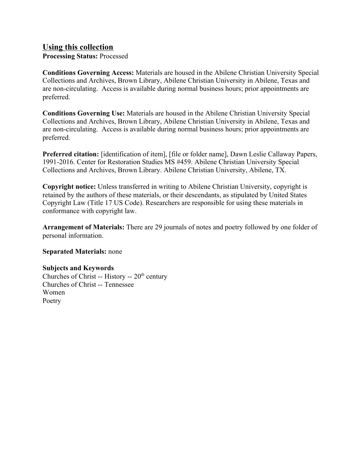## **Using this collection**

**Processing Status:** Processed

**Conditions Governing Access:** Materials are housed in the Abilene Christian University Special Collections and Archives, Brown Library, Abilene Christian University in Abilene, Texas and are non-circulating. Access is available during normal business hours; prior appointments are preferred.

**Conditions Governing Use:** Materials are housed in the Abilene Christian University Special Collections and Archives, Brown Library, Abilene Christian University in Abilene, Texas and are non-circulating. Access is available during normal business hours; prior appointments are preferred.

**Preferred citation:** [identification of item], [file or folder name], Dawn Leslie Callaway Papers, 1991-2016. Center for Restoration Studies MS #459. Abilene Christian University Special Collections and Archives, Brown Library. Abilene Christian University, Abilene, TX.

**Copyright notice:** Unless transferred in writing to Abilene Christian University, copyright is retained by the authors of these materials, or their descendants, as stipulated by United States Copyright Law (Title 17 US Code). Researchers are responsible for using these materials in conformance with copyright law.

**Arrangement of Materials:** There are 29 journals of notes and poetry followed by one folder of personal information.

### **Separated Materials:** none

#### **Subjects and Keywords**

Churches of Christ -- History --  $20<sup>th</sup>$  century Churches of Christ -- Tennessee Women Poetry